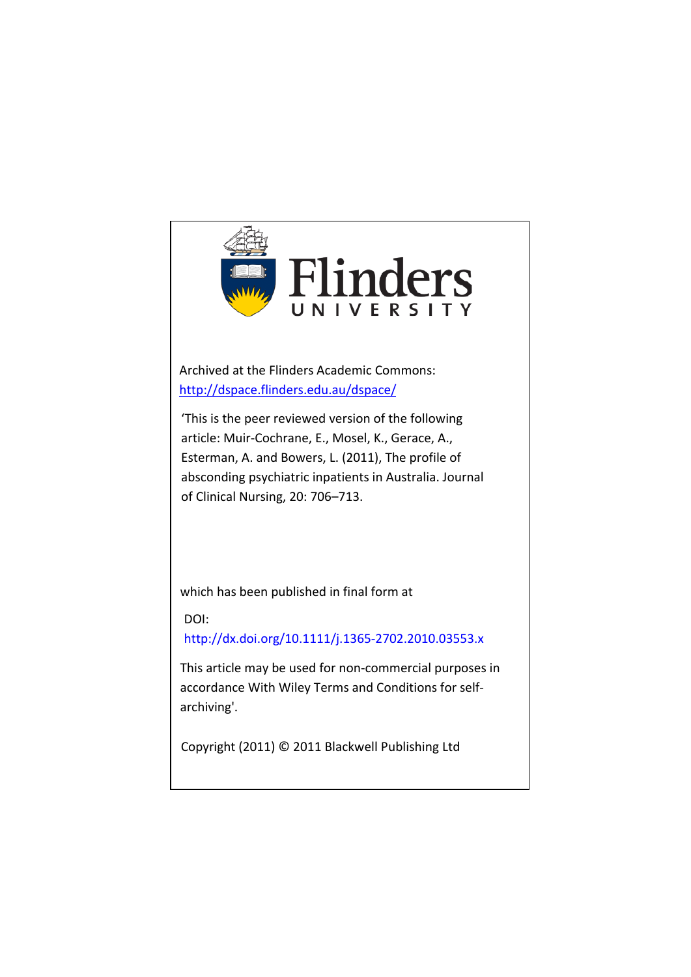

Archived at the Flinders Academic Commons: <http://dspace.flinders.edu.au/dspace/>

'This is the peer reviewed version of the following article: Muir-Cochrane, E., Mosel, K., Gerace, A., Esterman, A. and Bowers, L. (2011), The profile of absconding psychiatric inpatients in Australia. Journal of Clinical Nursing, 20: 706–713.

which has been published in final form at

DOI: http://dx.doi.org/10.1111/j.1365-2702.2010.03553.x

This article may be used for non-commercial purposes in accordance With Wiley Terms and Conditions for selfarchiving'.

Copyright (2011) © 2011 Blackwell Publishing Ltd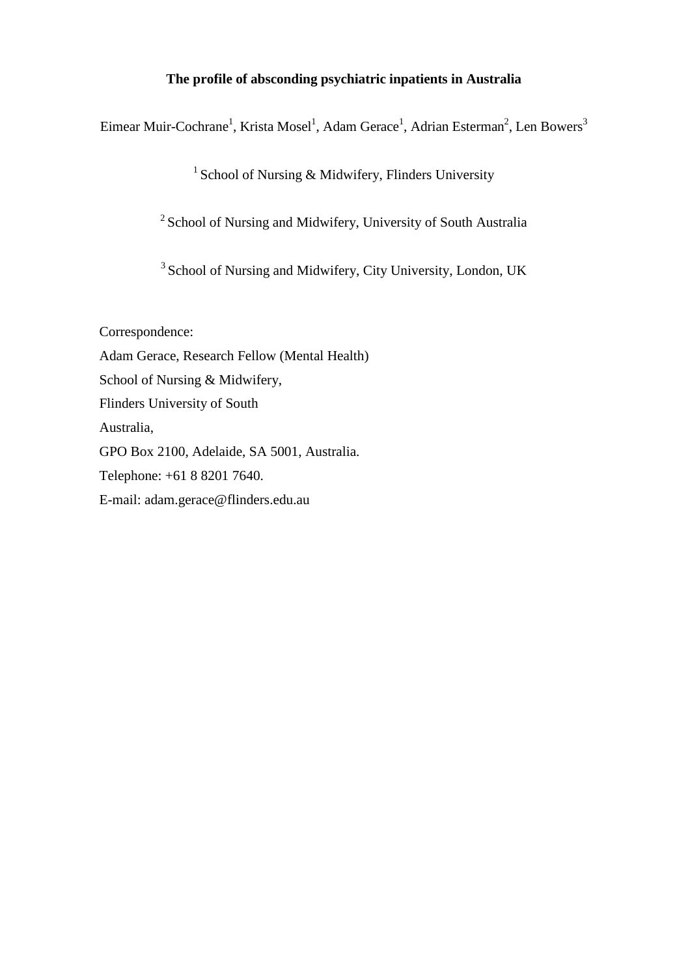## **The profile of absconding psychiatric inpatients in Australia**

Eimear Muir-Cochrane $^1$ , Krista Mosel $^1$ , Adam Gerace $^1$ , Adrian Esterman $^2$ , Len Bowers $^3$ 

<sup>1</sup> School of Nursing & Midwifery, Flinders University

<sup>2</sup> School of Nursing and Midwifery, University of South Australia

<sup>3</sup> School of Nursing and Midwifery, City University, London, UK

Correspondence: Adam Gerace, Research Fellow (Mental Health) School of Nursing & Midwifery, Flinders University of South Australia, GPO Box 2100, Adelaide, SA 5001, Australia. Telephone: +61 8 8201 7640. E-mail: adam.gerace@flinders.edu.au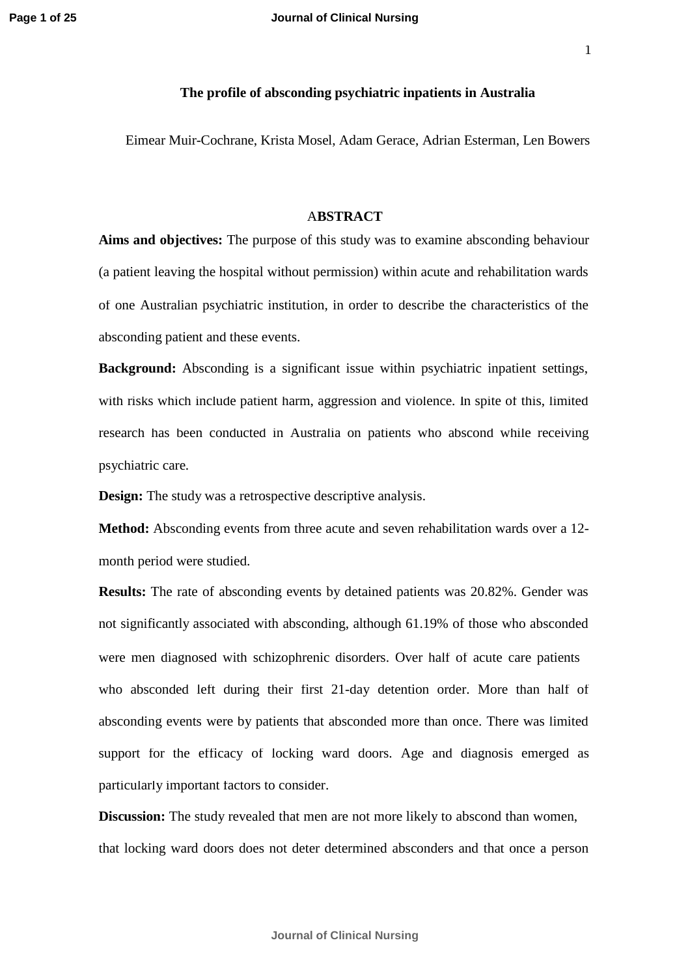#### **The profile of absconding psychiatric inpatients in Australia**

Eimear Muir-Cochrane, Krista Mosel, Adam Gerace, Adrian Esterman, Len Bowers

#### A**BSTRACT**

**Aims and objectives:** The purpose of this study was to examine absconding behaviour (a patient leaving the hospital without permission) within acute and rehabilitation wards of one Australian psychiatric institution, in order to describe the characteristics of the absconding patient and these events.

**Background:** Absconding is a significant issue within psychiatric inpatient settings, with risks which include patient harm, aggression and violence. In spite of this, limited research has been conducted in Australia on patients who abscond while receiving psychiatric care.

**Design:** The study was a retrospective descriptive analysis.

**Method:** Absconding events from three acute and seven rehabilitation wards over a 12 month period were studied.

**Results:** The rate of absconding events by detained patients was 20.82%. Gender was not significantly associated with absconding, although 61.19% of those who absconded were men diagnosed with schizophrenic disorders. Over half of acute care patients who absconded left during their first 21-day detention order. More than half of absconding events were by patients that absconded more than once. There was limited support for the efficacy of locking ward doors. Age and diagnosis emerged as particularly important factors to consider.

**Discussion:** The study revealed that men are not more likely to abscond than women, that locking ward doors does not deter determined absconders and that once a person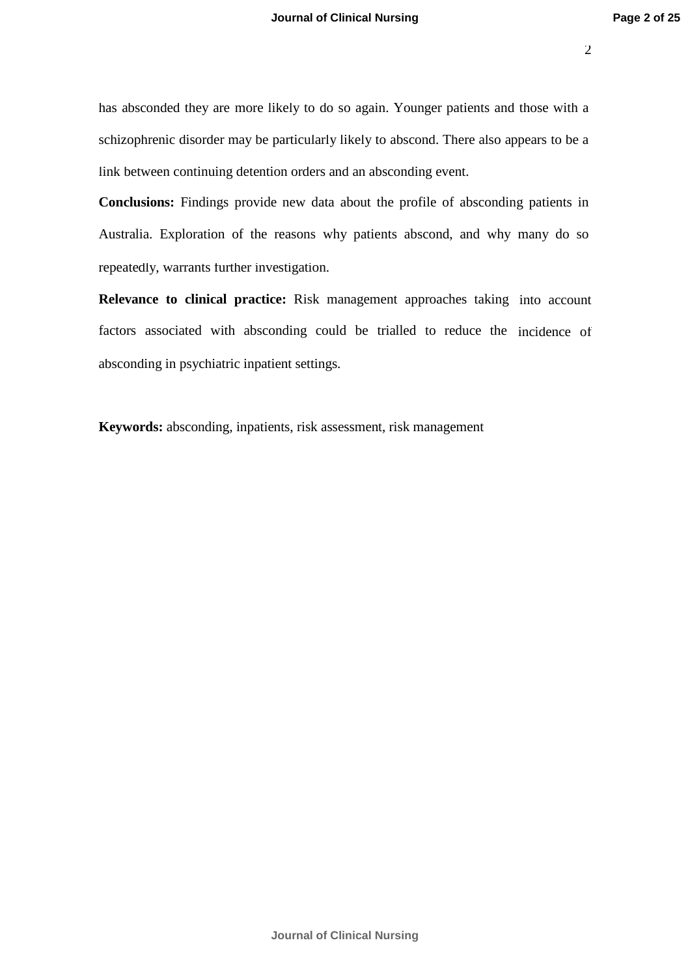has absconded they are more likely to do so again. Younger patients and those with a schizophrenic disorder may be particularly likely to abscond. There also appears to be a link between continuing detention orders and an absconding event.

**Conclusions:** Findings provide new data about the profile of absconding patients in Australia. Exploration of the reasons why patients abscond, and why many do so repeatedly, warrants further investigation.

**Relevance to clinical practice:** Risk management approaches taking into account factors associated with absconding could be trialled to reduce the incidence of absconding in psychiatric inpatient settings.

**Keywords:** absconding, inpatients, risk assessment, risk management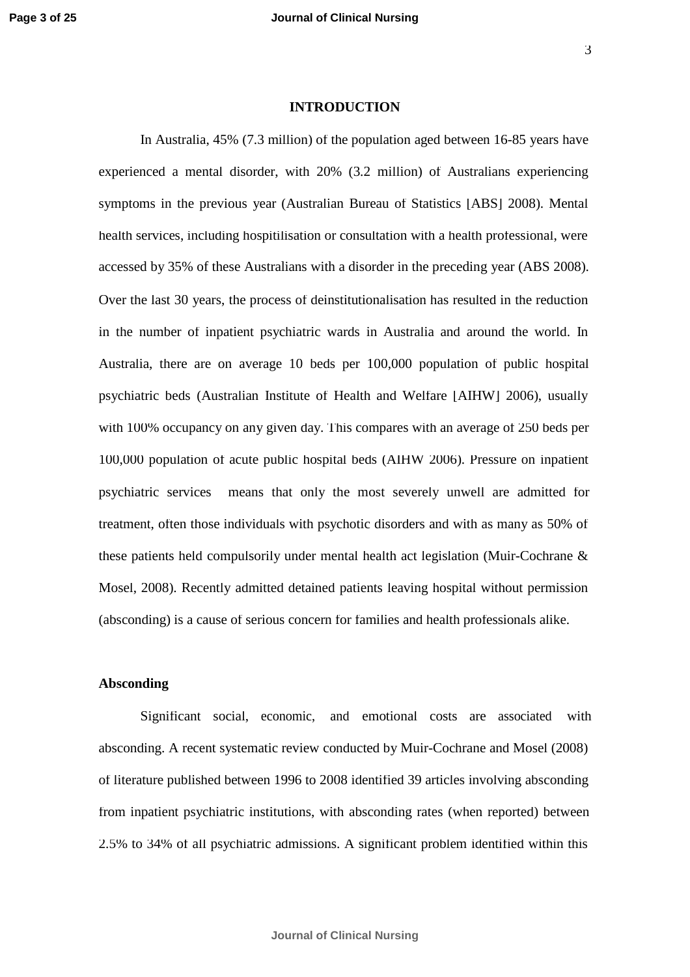#### **INTRODUCTION**

In Australia, 45% (7.3 million) of the population aged between 16-85 years have experienced a mental disorder, with 20% (3.2 million) of Australians experiencing symptoms in the previous year (Australian Bureau of Statistics [ABS] 2008). Mental health services, including hospitilisation or consultation with a health professional, were Over the last 30 years, the process of deinstitutionalisation has resulted in the reduction in the number of inpatient psychiatric wards in Australia and around the world. In Australia, there are on average 10 beds per 100,000 population of public hospital psychiatric beds (Australian Institute of Health and Welfare [AIHW] 2006), usually with 100% occupancy on any given day. This compares with an average of 250 beds per 100,000 population of acute public hospital beds (AIHW 2006). Pressure on inpatient psychiatric services means that only the most severely unwell are admitted for treatment, often those individuals with psychotic disorders and with as many as 50% of these patients held compulsorily under mental health act legislation (Muir-Cochrane & Mosel, 2008). Recently admitted detained patients leaving hospital without permission (absconding) is a cause of serious concern for families and health professionals alike. accessed by 35% of these Australians with a disorder in the preceding year (ABS 2008).

### **Absconding**

Significant social, economic, and emotional costs are associated with absconding. A recent systematic review conducted by Muir-Cochrane and Mosel (2008) of literature published between 1996 to 2008 identified 39 articles involving absconding from inpatient psychiatric institutions, with absconding rates (when reported) between 2.5% to 34% of all psychiatric admissions. A significant problem identified within this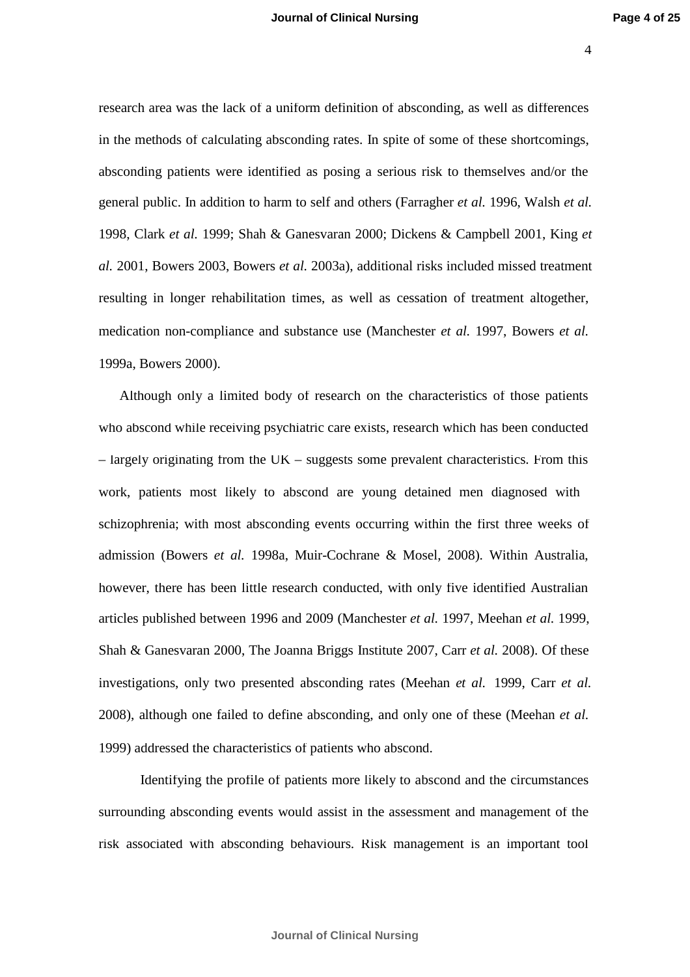research area was the lack of a uniform definition of absconding, as well as differences in the methods of calculating absconding rates. In spite of some of these shortcomings, absconding patients were identified as posing a serious risk to themselves and/or the general public. In addition to harm to self and others (Farragher *et al.* 1996, Walsh *et al.* 1998, Clark *et al.* 1999; Shah & Ganesvaran 2000; Dickens & Campbell 2001, King *et al.* 2001, Bowers 2003, Bowers *et al.* 2003a), additional risks included missed treatment resulting in longer rehabilitation times, as well as cessation of treatment altogether, medication non-compliance and substance use (Manchester *et al.* 1997, Bowers *et al.* 1999a, Bowers 2000).

Although only a limited body of research on the characteristics of those patients who abscond while receiving psychiatric care exists, research which has been conducted – largely originating from the UK – suggests some prevalent characteristics. From this work, patients most likely to abscond are young detained men diagnosed with schizophrenia; with most absconding events occurring within the first three weeks of admission (Bowers *et al.* 1998a, Muir-Cochrane & Mosel, 2008). Within Australia, however, there has been little research conducted, with only five identified Australian articles published between 1996 and 2009 (Manchester *et al.* 1997, Meehan *et al.* 1999, Shah & Ganesvaran 2000, The Joanna Briggs Institute 2007, Carr *et al.* 2008). Of these investigations, only two presented absconding rates (Meehan *et al.* 1999, Carr *et al.* 2008), although one failed to define absconding, and only one of these (Meehan *et al.* 1999) addressed the characteristics of patients who abscond.

Identifying the profile of patients more likely to abscond and the circumstances surrounding absconding events would assist in the assessment and management of the risk associated with absconding behaviours. Risk management is an important tool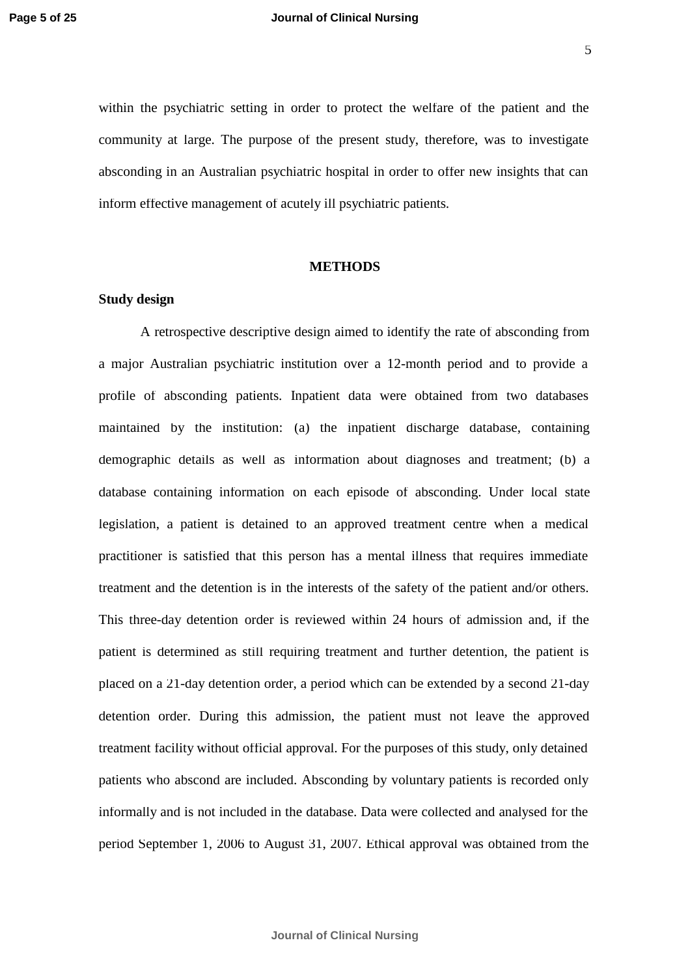within the psychiatric setting in order to protect the welfare of the patient and the community at large. The purpose of the present study, therefore, was to investigate absconding in an Australian psychiatric hospital in order to offer new insights that can inform effective management of acutely ill psychiatric patients.

#### **METHODS**

#### **Study design**

A retrospective descriptive design aimed to identify the rate of absconding from a major Australian psychiatric institution over a 12-month period and to provide a profile of absconding patients. Inpatient data were obtained from two databases maintained by the institution: (a) the inpatient discharge database, containing demographic details as well as information about diagnoses and treatment; (b) a database containing information on each episode of absconding. Under local state legislation, a patient is detained to an approved treatment centre when a medical practitioner is satisfied that this person has a mental illness that requires immediate treatment and the detention is in the interests of the safety of the patient and/or others. This three-day detention order is reviewed within 24 hours of admission and, if the patient is determined as still requiring treatment and further detention, the patient is placed on a 21-day detention order, a period which can be extended by a second 21-day detention order. During this admission, the patient must not leave the approved treatment facility without official approval. For the purposes of this study, only detained patients who abscond are included. Absconding by voluntary patients is recorded only informally and is not included in the database. Data were collected and analysed for the period September 1, 2006 to August 31, 2007. Ethical approval was obtained from the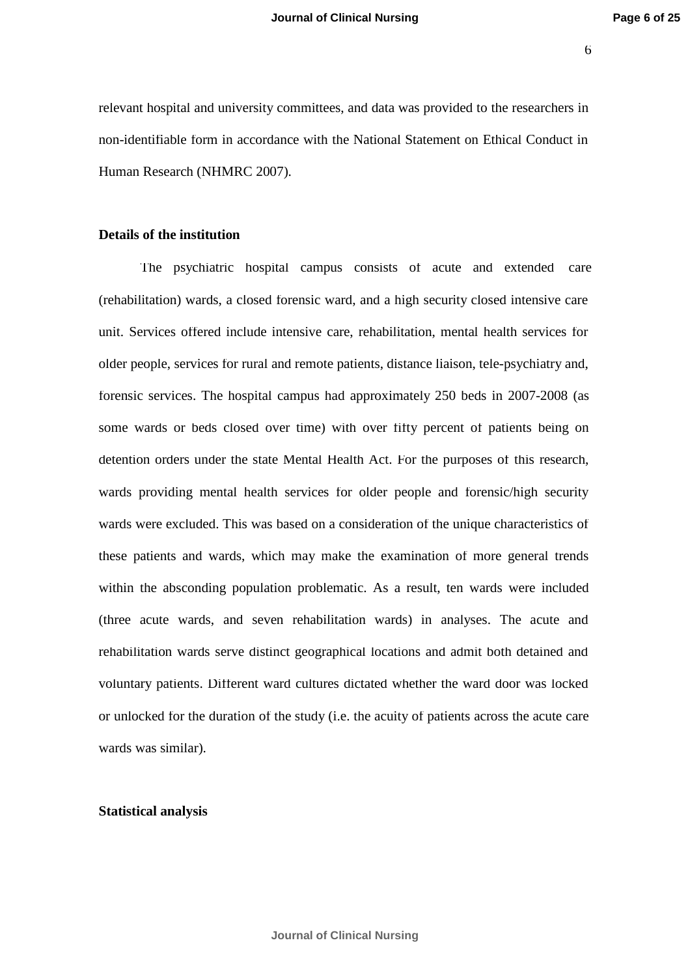6

relevant hospital and university committees, and data was provided to the researchers in non-identifiable form in accordance with the National Statement on Ethical Conduct in Human Research (NHMRC 2007).

#### **Details of the institution**

The psychiatric hospital campus consists of acute and extended care (rehabilitation) wards, a closed forensic ward, and a high security closed intensive care unit. Services offered include intensive care, rehabilitation, mental health services for older people, services for rural and remote patients, distance liaison, tele-psychiatry and, forensic services. The hospital campus had approximately 250 beds in 2007-2008 (as some wards or beds closed over time) with over fifty percent of patients being on detention orders under the state Mental Health Act. For the purposes of this research, wards providing mental health services for older people and forensic/high security wards were excluded. This was based on a consideration of the unique characteristics of these patients and wards, which may make the examination of more general trends within the absconding population problematic. As a result, ten wards were included (three acute wards, and seven rehabilitation wards) in analyses. The acute and rehabilitation wards serve distinct geographical locations and admit both detained and voluntary patients. Different ward cultures dictated whether the ward door was locked or unlocked for the duration of the study (i.e. the acuity of patients across the acute care wards was similar).

#### **Statistical analysis**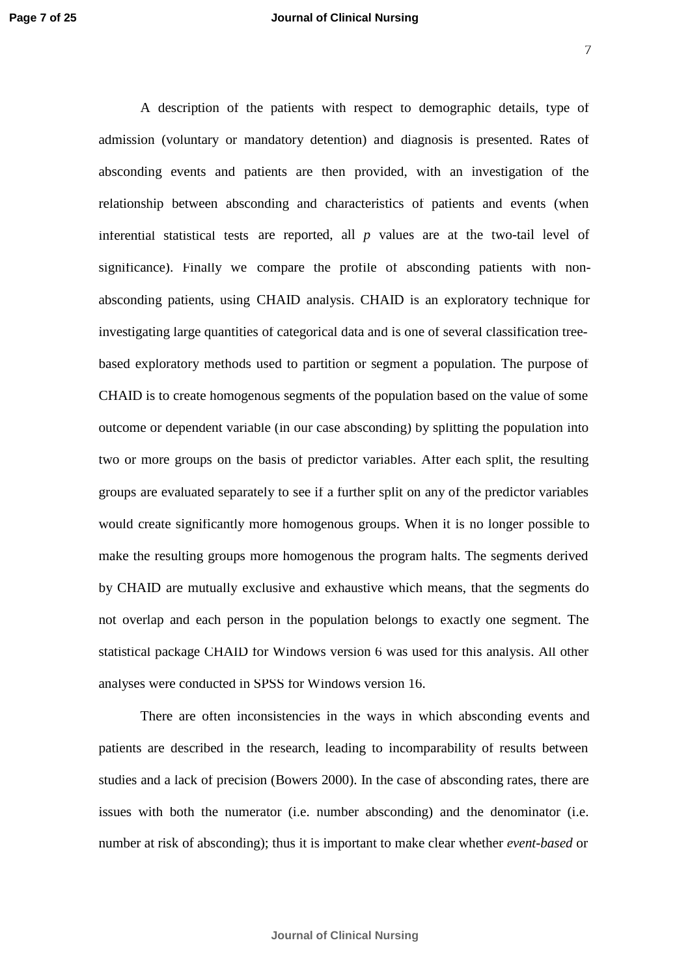A description of the patients with respect to demographic details, type of admission (voluntary or mandatory detention) and diagnosis is presented. Rates of absconding events and patients are then provided, with an investigation of the relationship between absconding and characteristics of patients and events (when inferential statistical tests are reported, all *p* values are at the two-tail level of significance). Finally we compare the profile of absconding patients with nonabsconding patients, using CHAID analysis. CHAID is an exploratory technique for investigating large quantities of categorical data and is one of several classification treebased exploratory methods used to partition or segment a population. The purpose of CHAID is to create homogenous segments of the population based on the value of some outcome or dependent variable (in our case absconding) by splitting the population into two or more groups on the basis of predictor variables. After each split, the resulting groups are evaluated separately to see if a further split on any of the predictor variables would create significantly more homogenous groups. When it is no longer possible to make the resulting groups more homogenous the program halts. The segments derived by CHAID are mutually exclusive and exhaustive which means, that the segments do not overlap and each person in the population belongs to exactly one segment. The statistical package CHAID for Windows version 6 was used for this analysis. All other analyses were conducted in SPSS for Windows version 16.

There are often inconsistencies in the ways in which absconding events and patients are described in the research, leading to incomparability of results between studies and a lack of precision (Bowers 2000). In the case of absconding rates, there are issues with both the numerator (i.e. number absconding) and the denominator (i.e. number at risk of absconding); thus it is important to make clear whether *event-based* or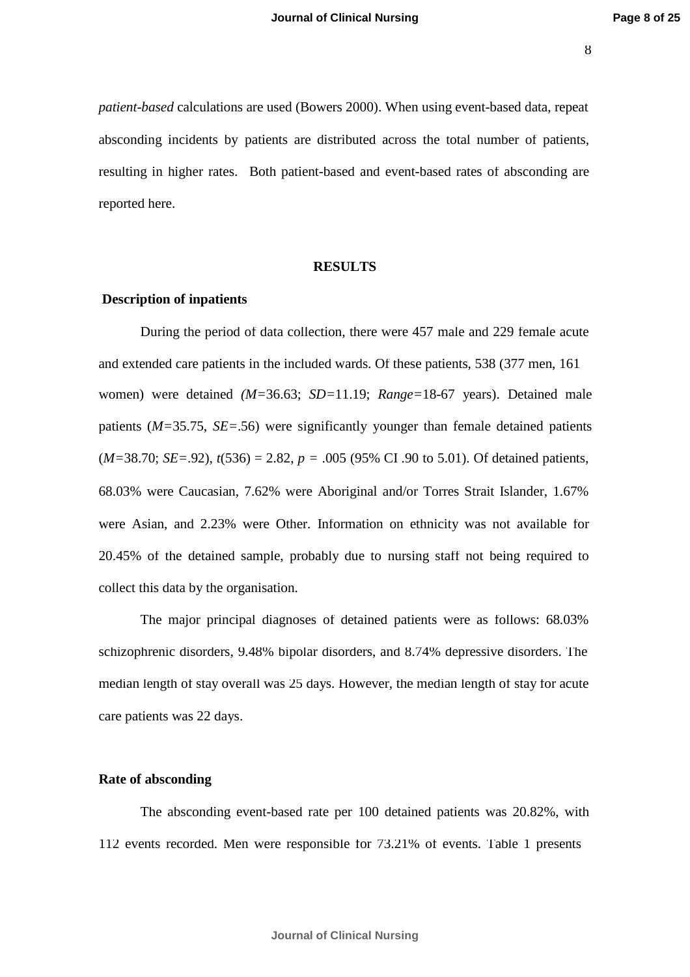8

*patient-based* calculations are used (Bowers 2000). When using event-based data, repeat absconding incidents by patients are distributed across the total number of patients, resulting in higher rates. Both patient-based and event-based rates of absconding are reported here.

#### **RESULTS**

#### **Description of inpatients**

During the period of data collection, there were 457 male and 229 female acute and extended care patients in the included wards. Of these patients, 538 (377 men, 161 women) were detained *(M=*36.63; *SD=*11.19; *Range=*18-67 years). Detained male patients (*M=*35.75, *SE=*.56) were significantly younger than female detained patients  $(M=38.70; SE=.92)$ ,  $t(536) = 2.82$ ,  $p = .005$  (95% CI .90 to 5.01). Of detained patients, 68.03% were Caucasian, 7.62% were Aboriginal and/or Torres Strait Islander, 1.67% were Asian, and 2.23% were Other. Information on ethnicity was not available for 20.45% of the detained sample, probably due to nursing staff not being required to collect this data by the organisation.

The major principal diagnoses of detained patients were as follows: 68.03% schizophrenic disorders, 9.48% bipolar disorders, and 8.74% depressive disorders. The median length of stay overall was 25 days. However, the median length of stay for acute care patients was 22 days.

#### **Rate of absconding**

The absconding event-based rate per 100 detained patients was 20.82%, with 112 events recorded. Men were responsible for 73.21% of events. Table 1 presents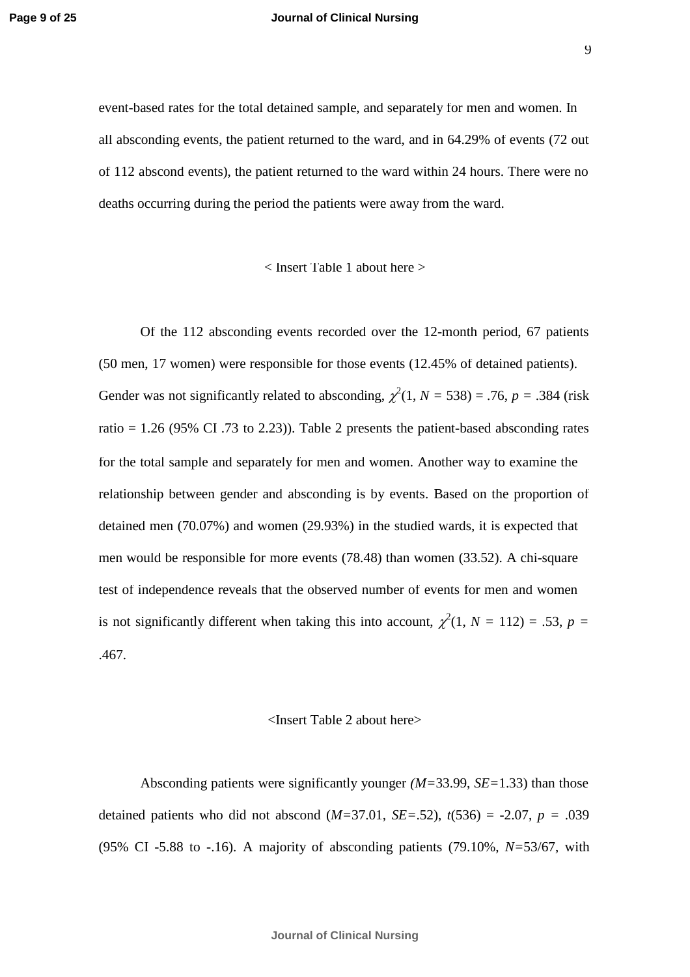event-based rates for the total detained sample, and separately for men and women. In all absconding events, the patient returned to the ward, and in 64.29% of events (72 out of 112 abscond events), the patient returned to the ward within 24 hours. There were no

deaths occurring during the period the patients were away from the ward.

#### < Insert Table 1 about here >

Of the 112 absconding events recorded over the 12-month period, 67 patients (50 men, 17 women) were responsible for those events (12.45% of detained patients). Gender was not significantly related to absconding,  $\chi^2(1, N = 538) = .76$ ,  $p = .384$  (risk ratio = 1.26 (95% CI .73 to 2.23)). Table 2 presents the patient-based absconding rates for the total sample and separately for men and women. Another way to examine the relationship between gender and absconding is by events. Based on the proportion of detained men (70.07%) and women (29.93%) in the studied wards, it is expected that men would be responsible for more events (78.48) than women (33.52). A chi-square test of independence reveals that the observed number of events for men and women is not significantly different when taking this into account,  $\chi^2(1, N = 112) = .53$ ,  $p =$ .467.

#### <Insert Table 2 about here>

Absconding patients were significantly younger *(M=*33.99, *SE=*1.33) than those detained patients who did not abscond  $(M=37.01, SE=.52)$ ,  $t(536) = -2.07$ ,  $p = .039$ (95% CI -5.88 to -.16). A majority of absconding patients (79.10%, *N=*53/67, with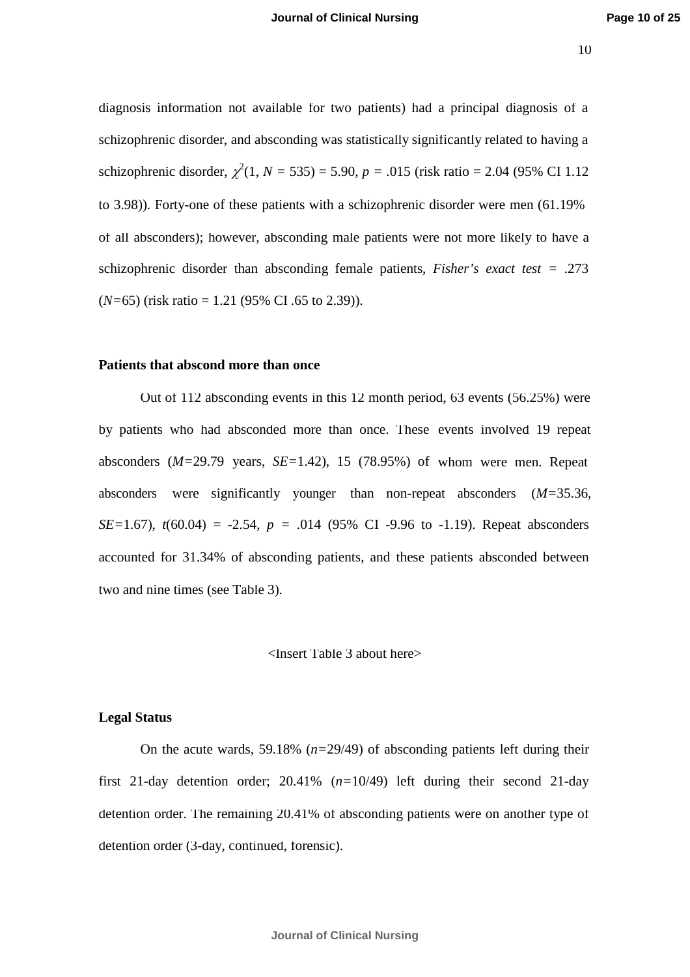diagnosis information not available for two patients) had a principal diagnosis of a schizophrenic disorder, and absconding was statistically significantly related to having a schizophrenic disorder,  $\chi^2(1, N = 535) = 5.90, p = .015$  (risk ratio = 2.04 (95% CI 1.12) to 3.98)). Forty-one of these patients with a schizophrenic disorder were men (61.19% of all absconders); however, absconding male patients were not more likely to have a schizophrenic disorder than absconding female patients, *Fisher's exact test =* .273 (*N=*65) (risk ratio = 1.21 (95% CI .65 to 2.39)).

#### **Patients that abscond more than once**

Out of 112 absconding events in this 12 month period, 63 events (56.25%) were by patients who had absconded more than once. These events involved 19 repeat absconders (*M=*29.79 years, *SE=*1.42), 15 (78.95%) of whom were men. Repeat absconders were significantly younger than non-repeat absconders (*M=*35.36, *SE*=1.67),  $t(60.04) = -2.54$ ,  $p = .014$  (95% CI -9.96 to -1.19). Repeat absconders accounted for 31.34% of absconding patients, and these patients absconded between two and nine times (see Table 3).

#### <Insert Table 3 about here>

### **Legal Status**

On the acute wards, 59.18% (*n=*29/49) of absconding patients left during their first 21-day detention order; 20.41% (*n=*10/49) left during their second 21-day detention order. The remaining 20.41% of absconding patients were on another type of detention order (3-day, continued, forensic).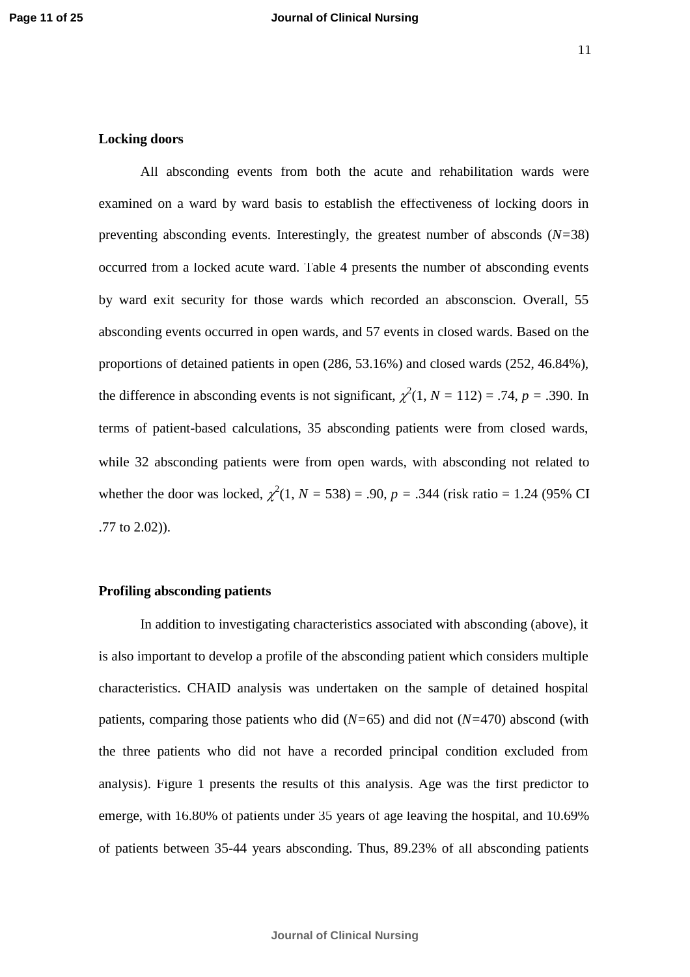#### **Locking doors**

All absconding events from both the acute and rehabilitation wards were examined on a ward by ward basis to establish the effectiveness of locking doors in preventing absconding events. Interestingly, the greatest number of absconds (*N=*38) occurred from a locked acute ward. Table 4 presents the number of absconding events by ward exit security for those wards which recorded an absconscion. Overall, 55 absconding events occurred in open wards, and 57 events in closed wards. Based on the proportions of detained patients in open (286, 53.16%) and closed wards (252, 46.84%), the difference in absconding events is not significant,  $\chi^2(1, N = 112) = .74$ ,  $p = .390$ . In terms of patient-based calculations, 35 absconding patients were from closed wards, while 32 absconding patients were from open wards, with absconding not related to whether the door was locked,  $\chi^2(1, N = 538) = .90$ ,  $p = .344$  (risk ratio = 1.24 (95% CI) .77 to 2.02)).

#### **Profiling absconding patients**

In addition to investigating characteristics associated with absconding (above), it is also important to develop a profile of the absconding patient which considers multiple characteristics. CHAID analysis was undertaken on the sample of detained hospital patients, comparing those patients who did (*N=*65) and did not (*N=*470) abscond (with the three patients who did not have a recorded principal condition excluded from analysis). Figure 1 presents the results of this analysis. Age was the first predictor to emerge, with 16.80% of patients under 35 years of age leaving the hospital, and 10.69% of patients between 35-44 years absconding. Thus, 89.23% of all absconding patients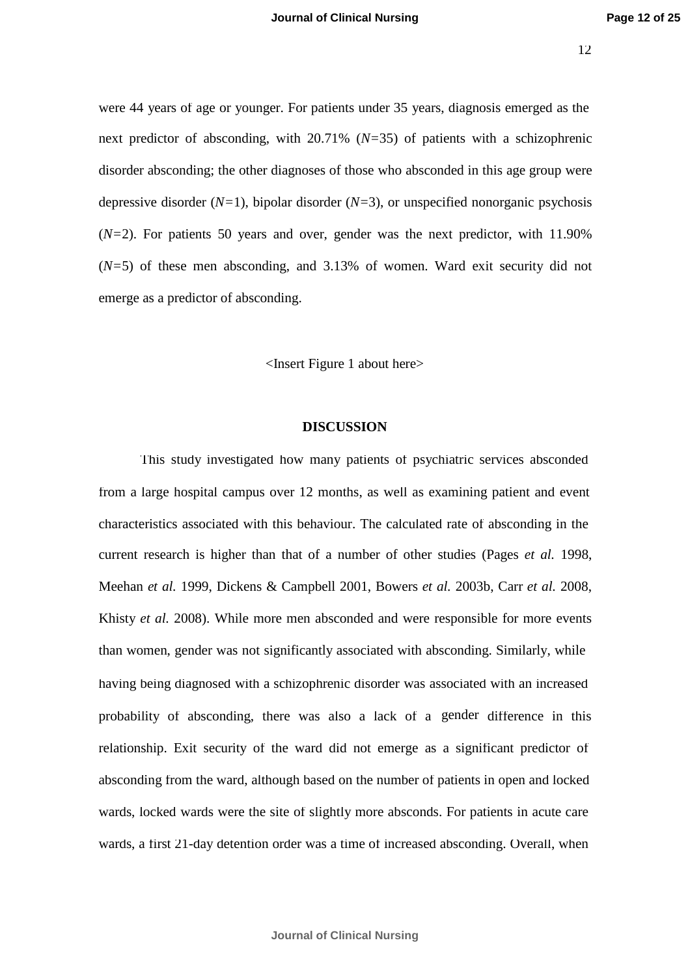were 44 years of age or younger. For patients under 35 years, diagnosis emerged as the next predictor of absconding, with 20.71% (*N=*35) of patients with a schizophrenic disorder absconding; the other diagnoses of those who absconded in this age group were depressive disorder (*N=*1), bipolar disorder (*N=*3), or unspecified nonorganic psychosis (*N=*2). For patients 50 years and over, gender was the next predictor, with 11.90% (*N=*5) of these men absconding, and 3.13% of women. Ward exit security did not emerge as a predictor of absconding.

<Insert Figure 1 about here>

#### **DISCUSSION**

This study investigated how many patients of psychiatric services absconded from a large hospital campus over 12 months, as well as examining patient and event characteristics associated with this behaviour. The calculated rate of absconding in the current research is higher than that of a number of other studies (Pages *et al.* 1998, Meehan *et al.* 1999, Dickens & Campbell 2001, Bowers *et al.* 2003b, Carr *et al.* 2008, Khisty *et al.* 2008). While more men absconded and were responsible for more events than women, gender was not significantly associated with absconding. Similarly, while having being diagnosed with a schizophrenic disorder was associated with an increased probability of absconding, there was also a lack of a gender difference in this relationship. Exit security of the ward did not emerge as a significant predictor of absconding from the ward, although based on the number of patients in open and locked wards, locked wards were the site of slightly more absconds. For patients in acute care wards, a first 21-day detention order was a time of increased absconding. Overall, when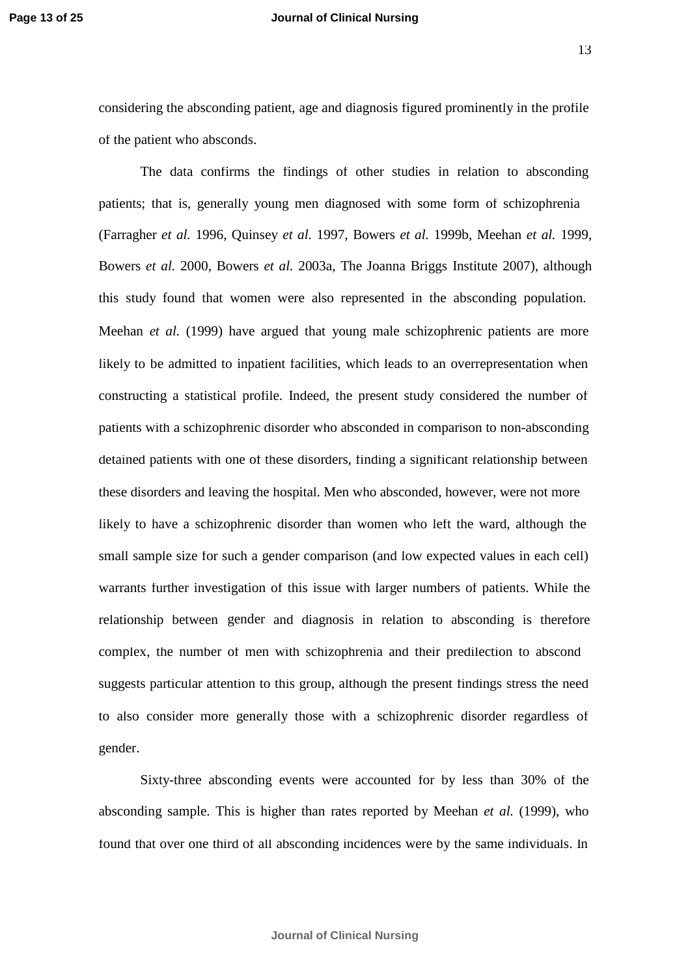#### **Page 13 of 25 Journal of Clinical Nursing**

13

considering the absconding patient, age and diagnosis figured prominently in the profile of the patient who absconds.

The data confirms the findings of other studies in relation to absconding patients; that is, generally young men diagnosed with some form of schizophrenia (Farragher *et al.* 1996, Quinsey *et al.* 1997, Bowers *et al.* 1999b, Meehan *et al.* 1999, Bowers *et al.* 2000, Bowers *et al.* 2003a, The Joanna Briggs Institute 2007), although this study found that women were also represented in the absconding population. Meehan *et al.* (1999) have argued that young male schizophrenic patients are more likely to be admitted to inpatient facilities, which leads to an overrepresentation when constructing a statistical profile. Indeed, the present study considered the number of patients with a schizophrenic disorder who absconded in comparison to non-absconding detained patients with one of these disorders, finding a significant relationship between these disorders and leaving the hospital. Men who absconded, however, were not more likely to have a schizophrenic disorder than women who left the ward, although the small sample size for such a gender comparison (and low expected values in each cell) warrants further investigation of this issue with larger numbers of patients. While the relationship between gender and diagnosis in relation to absconding is therefore complex, the number of men with schizophrenia and their predilection to abscond suggests particular attention to this group, although the present findings stress the need to also consider more generally those with a schizophrenic disorder regardless of gender.

Sixty-three absconding events were accounted for by less than 30% of the absconding sample. This is higher than rates reported by Meehan *et al.* (1999), who found that over one third of all absconding incidences were by the same individuals. In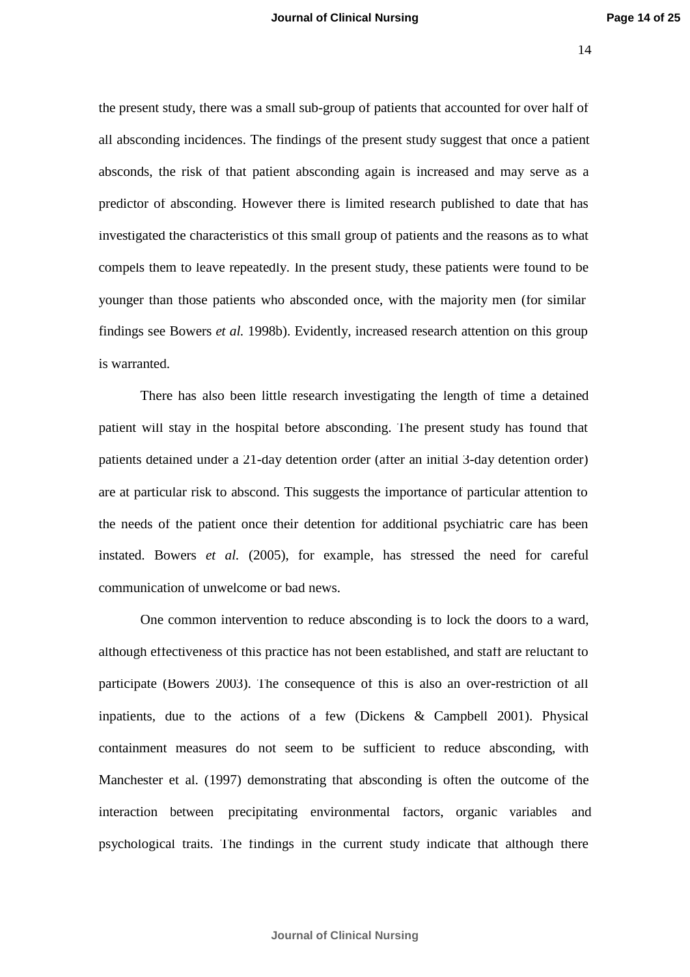the present study, there was a small sub-group of patients that accounted for over half of all absconding incidences. The findings of the present study suggest that once a patient absconds, the risk of that patient absconding again is increased and may serve as a predictor of absconding. However there is limited research published to date that has investigated the characteristics of this small group of patients and the reasons as to what compels them to leave repeatedly. In the present study, these patients were found to be younger than those patients who absconded once, with the majority men (for similar findings see Bowers *et al.* 1998b). Evidently, increased research attention on this group is warranted.

There has also been little research investigating the length of time a detained patient will stay in the hospital before absconding. The present study has found that patients detained under a 21-day detention order (after an initial 3-day detention order) are at particular risk to abscond. This suggests the importance of particular attention to the needs of the patient once their detention for additional psychiatric care has been instated. Bowers *et al.* (2005), for example, has stressed the need for careful communication of unwelcome or bad news.

One common intervention to reduce absconding is to lock the doors to a ward, although effectiveness of this practice has not been established, and staff are reluctant to participate (Bowers 2003). The consequence of this is also an over-restriction of all inpatients, due to the actions of a few (Dickens & Campbell 2001). Physical containment measures do not seem to be sufficient to reduce absconding, with Manchester et al. (1997) demonstrating that absconding is often the outcome of the interaction between precipitating environmental factors, organic variables and psychological traits. The findings in the current study indicate that although there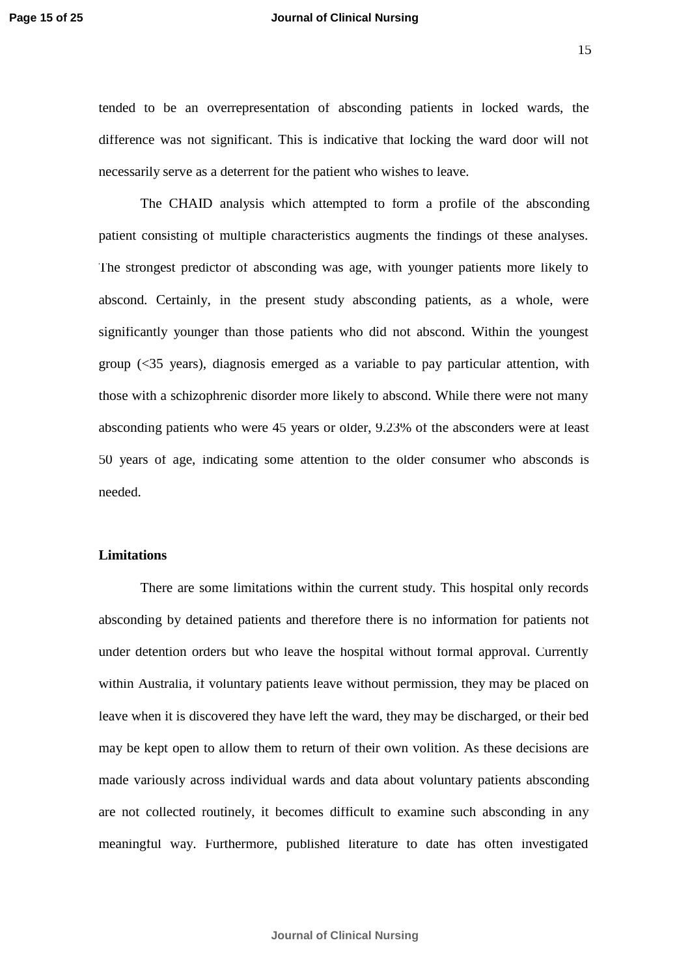#### **Page 15 of 25 Journal of Clinical Nursing**

15

tended to be an overrepresentation of absconding patients in locked wards, the difference was not significant. This is indicative that locking the ward door will not necessarily serve as a deterrent for the patient who wishes to leave.

The CHAID analysis which attempted to form a profile of the absconding patient consisting of multiple characteristics augments the findings of these analyses. The strongest predictor of absconding was age, with younger patients more likely to abscond. Certainly, in the present study absconding patients, as a whole, were significantly younger than those patients who did not abscond. Within the youngest group (<35 years), diagnosis emerged as a variable to pay particular attention, with those with a schizophrenic disorder more likely to abscond. While there were not many absconding patients who were 45 years or older, 9.23% of the absconders were at least 50 years of age, indicating some attention to the older consumer who absconds is needed.

### **Limitations**

There are some limitations within the current study. This hospital only records absconding by detained patients and therefore there is no information for patients not under detention orders but who leave the hospital without formal approval. Currently within Australia, if voluntary patients leave without permission, they may be placed on leave when it is discovered they have left the ward, they may be discharged, or their bed may be kept open to allow them to return of their own volition. As these decisions are made variously across individual wards and data about voluntary patients absconding are not collected routinely, it becomes difficult to examine such absconding in any meaningful way. Furthermore, published literature to date has often investigated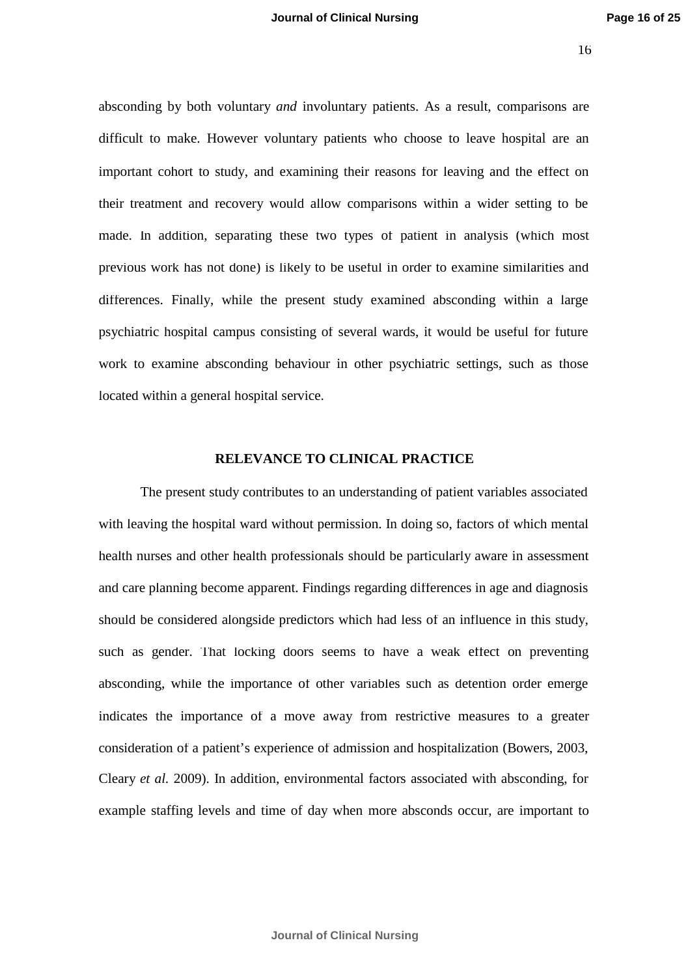absconding by both voluntary *and* involuntary patients. As a result, comparisons are difficult to make. However voluntary patients who choose to leave hospital are an important cohort to study, and examining their reasons for leaving and the effect on their treatment and recovery would allow comparisons within a wider setting to be made. In addition, separating these two types of patient in analysis (which most previous work has not done) is likely to be useful in order to examine similarities and differences. Finally, while the present study examined absconding within a large psychiatric hospital campus consisting of several wards, it would be useful for future work to examine absconding behaviour in other psychiatric settings, such as those located within a general hospital service.

#### **RELEVANCE TO CLINICAL PRACTICE**

The present study contributes to an understanding of patient variables associated with leaving the hospital ward without permission. In doing so, factors of which mental health nurses and other health professionals should be particularly aware in assessment and care planning become apparent. Findings regarding differences in age and diagnosis should be considered alongside predictors which had less of an influence in this study, such as gender. That locking doors seems to have a weak effect on preventing absconding, while the importance of other variables such as detention order emerge indicates the importance of a move away from restrictive measures to a greater consideration of a patient's experience of admission and hospitalization (Bowers, 2003, Cleary *et al.* 2009). In addition, environmental factors associated with absconding, for example staffing levels and time of day when more absconds occur, are important to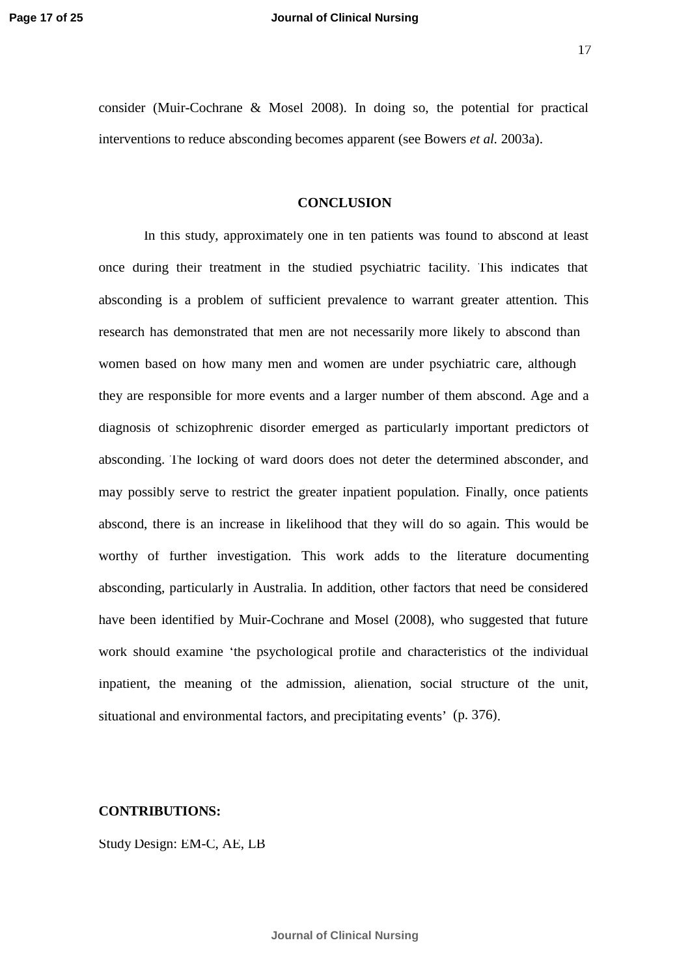17

consider (Muir-Cochrane & Mosel 2008). In doing so, the potential for practical interventions to reduce absconding becomes apparent (see Bowers *et al.* 2003a).

#### **CONCLUSION**

In this study, approximately one in ten patients was found to abscond at least once during their treatment in the studied psychiatric facility. This indicates that absconding is a problem of sufficient prevalence to warrant greater attention. This research has demonstrated that men are not necessarily more likely to abscond than women based on how many men and women are under psychiatric care, although they are responsible for more events and a larger number of them abscond. Age and a diagnosis of schizophrenic disorder emerged as particularly important predictors of absconding. The locking of ward doors does not deter the determined absconder, and may possibly serve to restrict the greater inpatient population. Finally, once patients abscond, there is an increase in likelihood that they will do so again. This would be worthy of further investigation. This work adds to the literature documenting absconding, particularly in Australia. In addition, other factors that need be considered have been identified by Muir-Cochrane and Mosel (2008), who suggested that future work should examine 'the psychological profile and characteristics of the individual inpatient, the meaning of the admission, alienation, social structure of the unit, situational and environmental factors, and precipitating events' (p. 376).

#### **CONTRIBUTIONS:**

Study Design: EM-C, AE, LB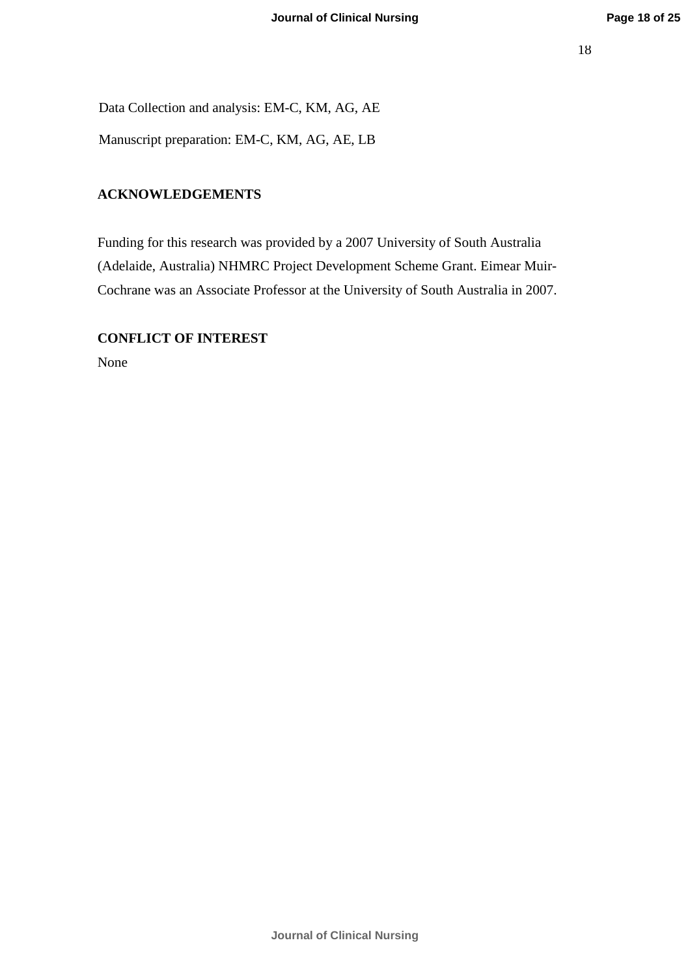Data Collection and analysis: EM-C, KM, AG, AE

Manuscript preparation: EM-C, KM, AG, AE, LB

## **ACKNOWLEDGEMENTS**

Funding for this research was provided by a 2007 University of South Australia (Adelaide, Australia) NHMRC Project Development Scheme Grant. Eimear Muir-Cochrane was an Associate Professor at the University of South Australia in 2007.

## **CONFLICT OF INTEREST**

None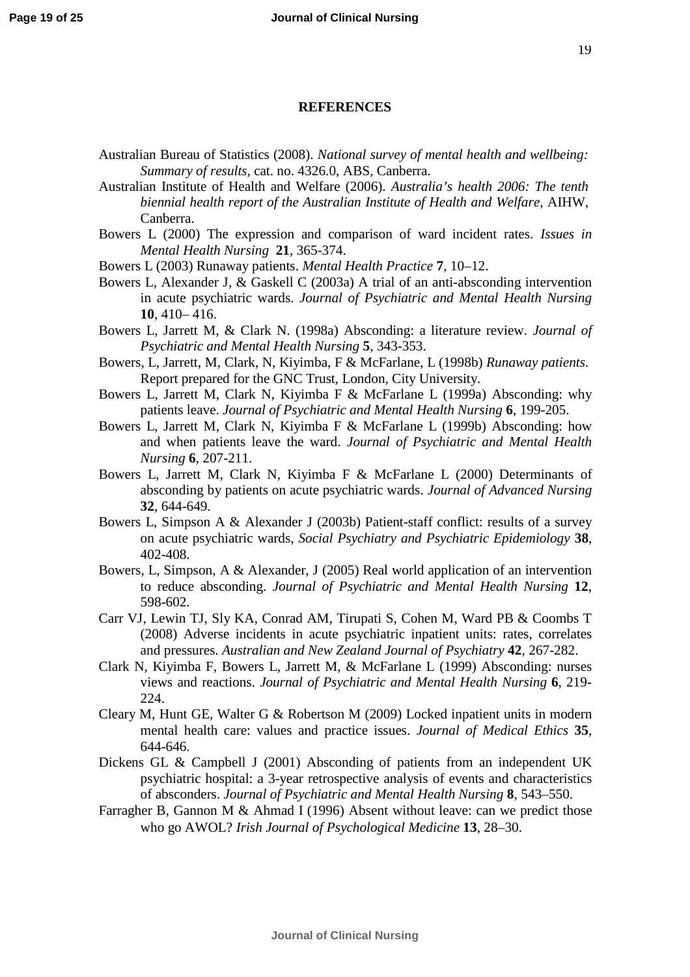#### **REFERENCES**

- *Summary of results,* cat. no. 4326.0, ABS, Canberra. Australian Bureau of Statistics (2008). *National survey of mental health and wellbeing:*
- Australian Institute of Health and Welfare (2006). *Australia's health 2006: The tenth biennial health report of the Australian Institute of Health and Welfare,* AIHW, Canberra.
- Bowers L (2000) The expression and comparison of ward incident rates. *Issues in Mental Health Nursing* **21**, 365-374.
- Bowers L (2003) Runaway patients. *Mental Health Practice* **7**, 10–12.
- Bowers L, Alexander J, & Gaskell C (2003a) A trial of an anti-absconding intervention in acute psychiatric wards. *Journal of Psychiatric and Mental Health Nursing* **10**, 410– 416.
- Bowers L, Jarrett M, & Clark N. (1998a) Absconding: a literature review. *Journal of Psychiatric and Mental Health Nursing* **5**, 343-353.
- Bowers, L, Jarrett, M, Clark, N, Kiyimba, F & McFarlane, L (1998b) *Runaway patients*. Report prepared for the GNC Trust, London, City University.
- Bowers L, Jarrett M, Clark N, Kiyimba F & McFarlane L (1999a) Absconding: why patients leave. *Journal of Psychiatric and Mental Health Nursing* **6**, 199-205.
- Bowers L, Jarrett M, Clark N, Kiyimba F & McFarlane L (1999b) Absconding: how and when patients leave the ward. *Journal of Psychiatric and Mental Health Nursing* **6**, 207-211.
- Bowers L, Jarrett M, Clark N, Kiyimba F & McFarlane L (2000) Determinants of absconding by patients on acute psychiatric wards. *Journal of Advanced Nursing* **32**, 644-649.
- Bowers L, Simpson A & Alexander J (2003b) Patient-staff conflict: results of a survey on acute psychiatric wards, *Social Psychiatry and Psychiatric Epidemiology* **38**, 402-408.
- Bowers, L, Simpson, A & Alexander, J (2005) Real world application of an intervention to reduce absconding. *Journal of Psychiatric and Mental Health Nursing* **12**, 598-602.
- Carr VJ, Lewin TJ, Sly KA, Conrad AM, Tirupati S, Cohen M, Ward PB & Coombs T (2008) Adverse incidents in acute psychiatric inpatient units: rates, correlates and pressures. *Australian and New Zealand Journal of Psychiatry* **42**, 267-282.
- [Clark](http://www.ncbi.nlm.nih.gov/sites/entrez?Db=pubmed&Cmd=Search&Term=%22Clark%20N%22%5BAuthor%5D&itool=EntrezSystem2.PEntrez.Pubmed.Pubmed_ResultsPanel.Pubmed_DiscoveryPanel.Pubmed_RVAbstractPlus) N, [Kiyimba](http://www.ncbi.nlm.nih.gov/sites/entrez?Db=pubmed&Cmd=Search&Term=%22Kiyimba%20F%22%5BAuthor%5D&itool=EntrezSystem2.PEntrez.Pubmed.Pubmed_ResultsPanel.Pubmed_DiscoveryPanel.Pubmed_RVAbstractPlus) F, [Bowers](http://www.ncbi.nlm.nih.gov/sites/entrez?Db=pubmed&Cmd=Search&Term=%22Bowers%20L%22%5BAuthor%5D&itool=EntrezSystem2.PEntrez.Pubmed.Pubmed_ResultsPanel.Pubmed_DiscoveryPanel.Pubmed_RVAbstractPlus) L, [Jarrett](http://www.ncbi.nlm.nih.gov/sites/entrez?Db=pubmed&Cmd=Search&Term=%22Jarrett%20M%22%5BAuthor%5D&itool=EntrezSystem2.PEntrez.Pubmed.Pubmed_ResultsPanel.Pubmed_DiscoveryPanel.Pubmed_RVAbstractPlus) M, & [McFarlane](http://www.ncbi.nlm.nih.gov/sites/entrez?Db=pubmed&Cmd=Search&Term=%22McFarlane%20L%22%5BAuthor%5D&itool=EntrezSystem2.PEntrez.Pubmed.Pubmed_ResultsPanel.Pubmed_DiscoveryPanel.Pubmed_RVAbstractPlus) L (1999) Absconding: nurses views and reactions. *Journal of Psychiatric and Mental Health Nursing* **6**, 219- 224.
- Cleary M, Hunt GE, Walter G & Robertson M (2009) Locked inpatient units in modern mental health care: values and practice issues. *Journal of Medical Ethics* **35**, 644-646.
- Dickens GL & Campbell J (2001) Absconding of patients from an independent UK psychiatric hospital: a 3-year retrospective analysis of events and characteristics of absconders. *Journal of Psychiatric and Mental Health Nursing* **8**, 543–550.
- Farragher B, Gannon M & Ahmad I (1996) Absent without leave: can we predict those who go AWOL? *Irish Journal of Psychological Medicine* **13**, 28–30.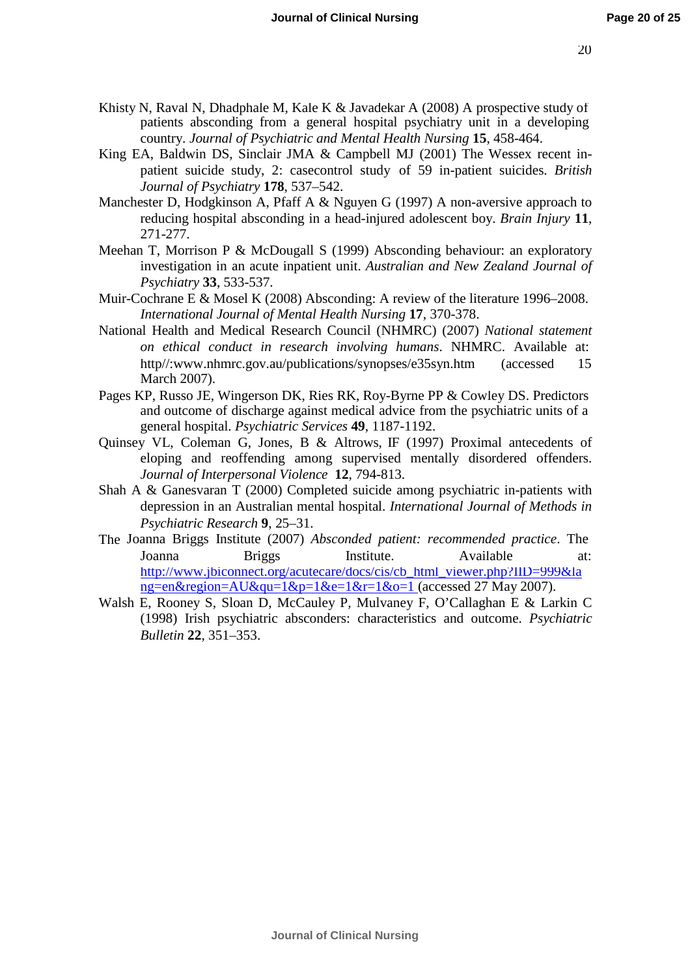- Khisty N, Raval N, Dhadphale M, Kale K & Javadekar A (2008) A prospective study of patients absconding from a general hospital psychiatry unit in a developing country. *Journal of Psychiatric and Mental Health Nursing* **15**, 458-464.
- King EA, Baldwin DS, Sinclair JMA & Campbell MJ (2001) The Wessex recent inpatient suicide study, 2: casecontrol study of 59 in-patient suicides. *British Journal of Psychiatry* **178**, 537–542.
- Manchester D, Hodgkinson A, Pfaff A & Nguyen G (1997) A non-aversive approach to reducing hospital absconding in a head-injured adolescent boy. *Brain Injury* **11**, 271-277.
- Meehan T, Morrison P & McDougall S (1999) Absconding behaviour: an exploratory investigation in an acute inpatient unit. *Australian and New Zealand Journal of Psychiatry* **33**, 533-537.
- Muir-Cochrane E & Mosel K (2008) Absconding: A review of the literature 1996–2008. *International Journal of Mental Health Nursing* **17**, 370-378.
- National Health and Medical Research Council (NHMRC) (2007) *National statement on ethical conduct in research involving humans*. NHMRC. Available at: [http//:www.nhmrc.gov.au/publications/synopses/e35syn.htm](http://www.nhmrc.gov.au/publications/synopses/e35syn.htm) March 2007). (accessed 15
- Pages KP, Russo JE, Wingerson DK, Ries RK, Roy-Byrne PP & Cowley DS. Predictors and outcome of discharge against medical advice from the psychiatric units of a general hospital. *Psychiatric Services* **49**, 1187-1192.
- Quinsey VL, Coleman G, Jones, B & Altrows, IF (1997) Proximal antecedents of eloping and reoffending among supervised mentally disordered offenders. *Journal of Interpersonal Violence* **12**, 794-813.
- Shah A & Ganesvaran T (2000) Completed suicide among psychiatric in-patients with depression in an Australian mental hospital. *International Journal of Methods in Psychiatric Research* **9**, 25–31.
- The Joanna Briggs Institute (2007) *Absconded patient: recommended practice*. The Joanna Briggs Institute. Available at: [http://www.jbiconnect.org/acutecare/docs/cis/cb\\_html\\_viewer.php?IID=999&la](http://www.jbiconnect.org/acutecare/docs/cis/cb_html_viewer.php?IID=999&lang=en&region=AU&qu=1&p=1&e=1&r=1&o=1) [ng=en&region=AU&qu=1&p=1&e=1&r=1&o=1](http://www.jbiconnect.org/acutecare/docs/cis/cb_html_viewer.php?IID=999&lang=en&region=AU&qu=1&p=1&e=1&r=1&o=1) (accessed  $27$  May 2007).
- Walsh E, Rooney S, Sloan D, McCauley P, Mulvaney F, O'Callaghan E & Larkin C (1998) Irish psychiatric absconders: characteristics and outcome. *Psychiatric Bulletin* **22**, 351–353.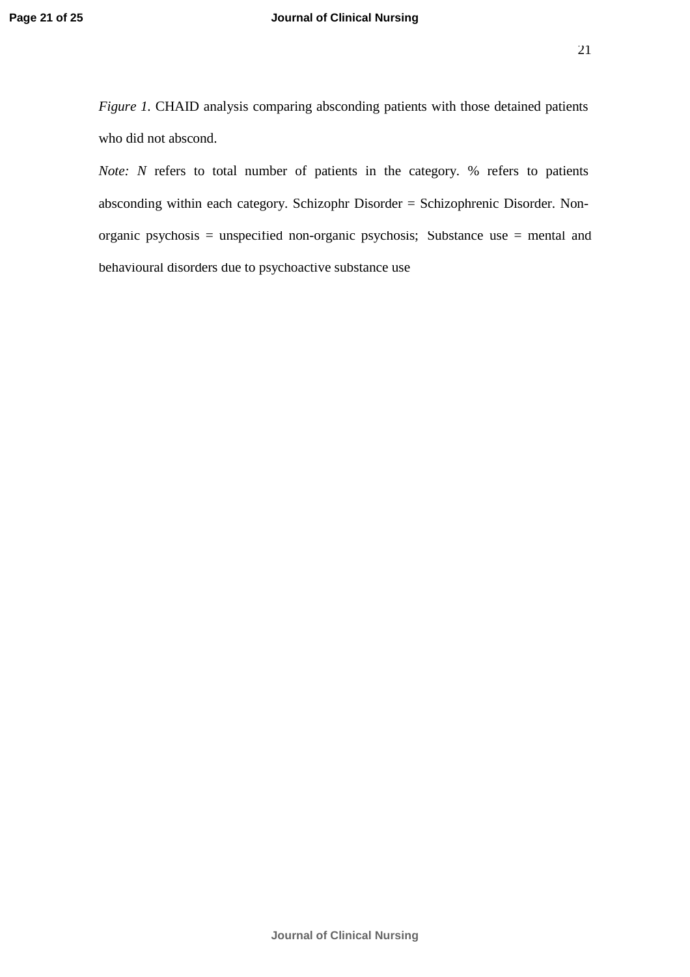*Figure 1.* CHAID analysis comparing absconding patients with those detained patients who did not abscond.

*Note: N* refers to total number of patients in the category. % refers to patients absconding within each category. Schizophr Disorder = Schizophrenic Disorder. Nonorganic psychosis = unspecified non-organic psychosis; Substance use = mental and behavioural disorders due to psychoactive substance use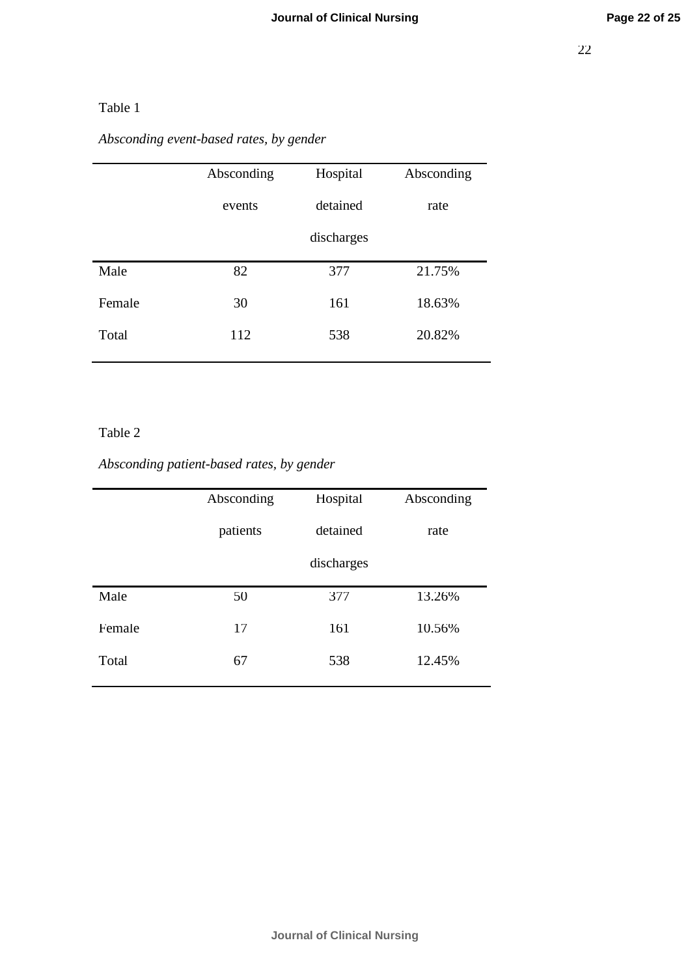### Table 1

*Absconding event-based rates, by gender*

|        | Absconding | Hospital   | Absconding |
|--------|------------|------------|------------|
|        | events     | detained   | rate       |
|        |            | discharges |            |
| Male   | 82         | 377        | 21.75%     |
| Female | 30         | 161        | 18.63%     |
| Total  | 112        | 538        | 20.82%     |
|        |            |            |            |

### Table 2

## *Absconding patient-based rates, by gender*

|        | Absconding | Hospital   | Absconding |
|--------|------------|------------|------------|
|        | patients   | detained   | rate       |
|        |            | discharges |            |
| Male   | 50         | 377        | 13.26%     |
| Female | 17         | 161        | 10.56%     |
| Total  | 67         | 538        | 12.45%     |
|        |            |            |            |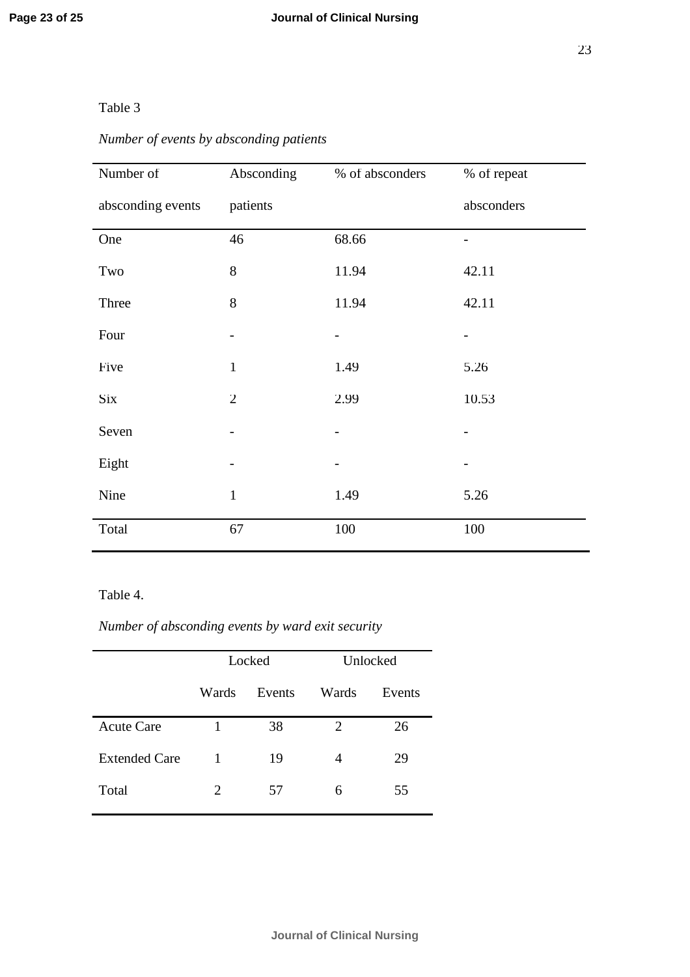### Table 3

# *Number of events by absconding patients*

| Number of         | Absconding     | % of absconders | % of repeat |
|-------------------|----------------|-----------------|-------------|
| absconding events | patients       |                 | absconders  |
| One               | 46             | 68.66           |             |
| Two               | 8              | 11.94           | 42.11       |
| Three             | 8              | 11.94           | 42.11       |
| Four              |                |                 |             |
| Five              | $\mathbf{1}$   | 1.49            | 5.26        |
| Six               | $\overline{2}$ | 2.99            | 10.53       |
| Seven             |                |                 |             |
| Eight             |                |                 |             |
| Nine              | $\mathbf{1}$   | 1.49            | 5.26        |
| Total             | 67             | 100             | 100         |

### Table 4.

## *Number of absconding events by ward exit security*

|                      | Locked |        | Unlocked |        |
|----------------------|--------|--------|----------|--------|
|                      | Wards  | Events | Wards    | Events |
| <b>Acute Care</b>    |        | 38     | 2        | 26     |
| <b>Extended Care</b> | 1      | 19     | 4        | 29     |
| Total                | 2      | 57     | 6        | 55     |